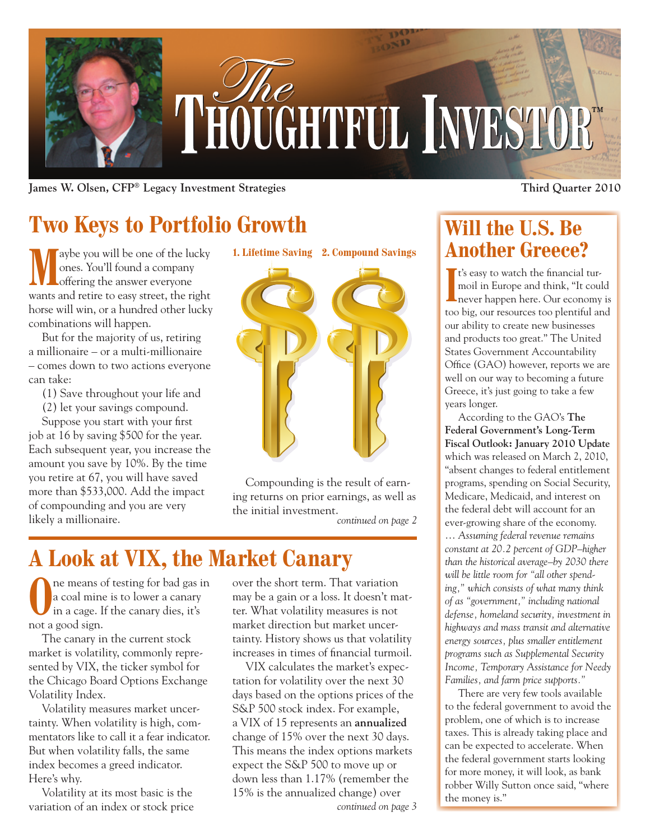

**James W. Olsen, CFP® Legacy Investment Strategies Third Quarter 2010**

# **Two Keys to Portfolio Growth**

aybe you will be one of the lucky ones. You'll found a company offering the answer everyone wants and retire to easy street, the right horse will win, or a hundred other lucky combinations will happen.

But for the majority of us, retiring a millionaire – or a multi-millionaire – comes down to two actions everyone can take:

- (1) Save throughout your life and
- (2) let your savings compound.

Suppose you start with your first job at 16 by saving \$500 for the year. Each subsequent year, you increase the amount you save by 10%. By the time you retire at 67, you will have saved more than \$533,000. Add the impact of compounding and you are very likely a millionaire.



Compounding is the result of earning returns on prior earnings, as well as the initial investment.

*continued on page 2*

## **A Look at VIX, the Market Canary**

ne means of testing for bad gas in a coal mine is to lower a canary in a cage. If the canary dies, it's not a good sign.

The canary in the current stock market is volatility, commonly represented by VIX, the ticker symbol for the Chicago Board Options Exchange Volatility Index.

Volatility measures market uncertainty. When volatility is high, commentators like to call it a fear indicator. But when volatility falls, the same index becomes a greed indicator. Here's why.

Volatility at its most basic is the variation of an index or stock price over the short term. That variation may be a gain or a loss. It doesn't matter. What volatility measures is not market direction but market uncertainty. History shows us that volatility increases in times of financial turmoil.

VIX calculates the market's expectation for volatility over the next 30 days based on the options prices of the S&P 500 stock index. For example, a VIX of 15 represents an **annualized**  change of 15% over the next 30 days. This means the index options markets expect the S&P 500 to move up or down less than 1.17% (remember the 15% is the annualized change) over the money is." *continued on page 3*

### **Will the U.S. Be Another Greece?**

I<sup>I</sup> Is easy to watch the financial turmoil in Europe and think, "It could never happen here. Our economy is It's easy to watch the financial turmoil in Europe and think, "It could too big, our resources too plentiful and our ability to create new businesses and products too great." The United States Government Accountability Office (GAO) however, reports we are well on our way to becoming a future Greece, it's just going to take a few years longer.

According to the GAO's **The Federal Government's Long-Term Fiscal Outlook: January 2010 Update** which was released on March 2, 2010, "absent changes to federal entitlement programs, spending on Social Security, Medicare, Medicaid, and interest on the federal debt will account for an ever-growing share of the economy. … *Assuming federal revenue remains constant at 20.2 percent of GDP–higher than the historical average–by 2030 there will be little room for "all other spending," which consists of what many think of as "government," including national defense, homeland security, investment in highways and mass transit and alternative energy sources, plus smaller entitlement programs such as Supplemental Security Income, Temporary Assistance for Needy Families, and farm price supports."*

There are very few tools available to the federal government to avoid the problem, one of which is to increase taxes. This is already taking place and can be expected to accelerate. When the federal government starts looking for more money, it will look, as bank robber Willy Sutton once said, "where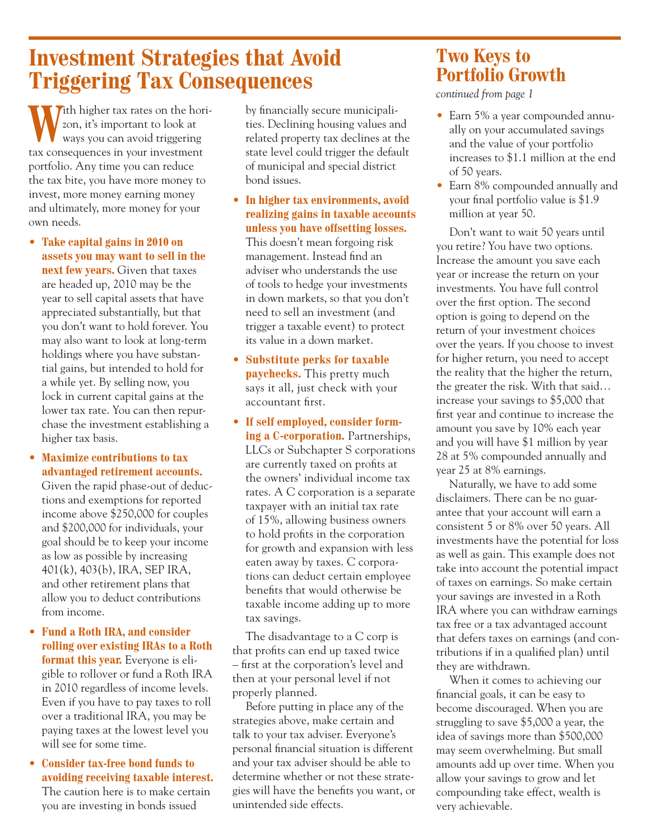### **Investment Strategies that Avoid Triggering Tax Consequences**

**Vith higher tax rates on the hori**zon, it's important to look at ways you can avoid triggering tax consequences in your investment portfolio. Any time you can reduce the tax bite, you have more money to invest, more money earning money and ultimately, more money for your own needs.

- • **Take capital gains in 2010 on assets you may want to sell in the next few years.** Given that taxes are headed up, 2010 may be the year to sell capital assets that have appreciated substantially, but that you don't want to hold forever. You may also want to look at long-term holdings where you have substantial gains, but intended to hold for a while yet. By selling now, you lock in current capital gains at the lower tax rate. You can then repurchase the investment establishing a higher tax basis.
- • **Maximize contributions to tax advantaged retirement accounts.**

Given the rapid phase-out of deductions and exemptions for reported income above \$250,000 for couples and \$200,000 for individuals, your goal should be to keep your income as low as possible by increasing 401(k), 403(b), IRA, SEP IRA, and other retirement plans that allow you to deduct contributions from income.

- • **Fund a Roth IRA, and consider rolling over existing IRAs to a Roth format this year.** Everyone is eligible to rollover or fund a Roth IRA in 2010 regardless of income levels. Even if you have to pay taxes to roll over a traditional IRA, you may be paying taxes at the lowest level you will see for some time.
- • **Consider tax-free bond funds to avoiding receiving taxable interest.**

The caution here is to make certain you are investing in bonds issued

by financially secure municipalities. Declining housing values and related property tax declines at the state level could trigger the default of municipal and special district bond issues.

• **In higher tax environments, avoid realizing gains in taxable accounts unless you have offsetting losses.**

This doesn't mean forgoing risk management. Instead find an adviser who understands the use of tools to hedge your investments in down markets, so that you don't need to sell an investment (and trigger a taxable event) to protect its value in a down market.

- • **Substitute perks for taxable paychecks.** This pretty much says it all, just check with your accountant first.
- • **If self employed, consider forming a C-corporation.** Partnerships, LLCs or Subchapter S corporations are currently taxed on profits at the owners' individual income tax rates. A C corporation is a separate taxpayer with an initial tax rate of 15%, allowing business owners to hold profits in the corporation for growth and expansion with less eaten away by taxes. C corporations can deduct certain employee benefits that would otherwise be taxable income adding up to more tax savings.

The disadvantage to a C corp is that profits can end up taxed twice – first at the corporation's level and then at your personal level if not properly planned.

Before putting in place any of the strategies above, make certain and talk to your tax adviser. Everyone's personal financial situation is different and your tax adviser should be able to determine whether or not these strategies will have the benefits you want, or unintended side effects.

### **Two Keys to Portfolio Growth**

*continued from page 1*

- Earn 5% a year compounded annually on your accumulated savings and the value of your portfolio increases to \$1.1 million at the end of 50 years.
- Earn 8% compounded annually and your final portfolio value is \$1.9 million at year 50.

Don't want to wait 50 years until you retire? You have two options. Increase the amount you save each year or increase the return on your investments. You have full control over the first option. The second option is going to depend on the return of your investment choices over the years. If you choose to invest for higher return, you need to accept the reality that the higher the return, the greater the risk. With that said… increase your savings to \$5,000 that first year and continue to increase the amount you save by 10% each year and you will have \$1 million by year 28 at 5% compounded annually and year 25 at 8% earnings.

Naturally, we have to add some disclaimers. There can be no guarantee that your account will earn a consistent 5 or 8% over 50 years. All investments have the potential for loss as well as gain. This example does not take into account the potential impact of taxes on earnings. So make certain your savings are invested in a Roth IRA where you can withdraw earnings tax free or a tax advantaged account that defers taxes on earnings (and contributions if in a qualified plan) until they are withdrawn.

When it comes to achieving our financial goals, it can be easy to become discouraged. When you are struggling to save \$5,000 a year, the idea of savings more than \$500,000 may seem overwhelming. But small amounts add up over time. When you allow your savings to grow and let compounding take effect, wealth is very achievable.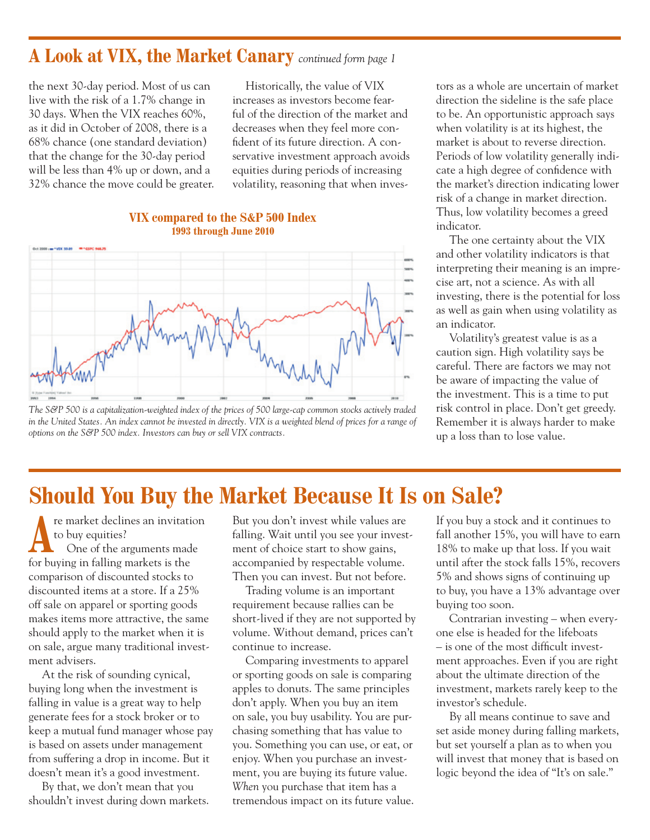### **A Look at VIX, the Market Canary** *continued form page 1*

the next 30-day period. Most of us can live with the risk of a 1.7% change in 30 days. When the VIX reaches 60%, as it did in October of 2008, there is a 68% chance (one standard deviation) that the change for the 30-day period will be less than 4% up or down, and a 32% chance the move could be greater.

Historically, the value of VIX increases as investors become fearful of the direction of the market and decreases when they feel more confident of its future direction. A conservative investment approach avoids equities during periods of increasing volatility, reasoning that when inves-

#### **VIX compared to the S&P 500 Index 1993 through June 2010**



*The S&P 500 is a capitalization-weighted index of the prices of 500 large-cap common stocks actively traded in the United States. An index cannot be invested in directly. VIX is a weighted blend of prices for a range of options on the S&P 500 index. Investors can buy or sell VIX contracts.*

tors as a whole are uncertain of market direction the sideline is the safe place to be. An opportunistic approach says when volatility is at its highest, the market is about to reverse direction. Periods of low volatility generally indicate a high degree of confidence with the market's direction indicating lower risk of a change in market direction. Thus, low volatility becomes a greed indicator.

The one certainty about the VIX and other volatility indicators is that interpreting their meaning is an imprecise art, not a science. As with all investing, there is the potential for loss as well as gain when using volatility as an indicator.

Volatility's greatest value is as a caution sign. High volatility says be careful. There are factors we may not be aware of impacting the value of the investment. This is a time to put risk control in place. Don't get greedy. Remember it is always harder to make up a loss than to lose value.

### **Should You Buy the Market Because It Is on Sale?**

re market declines an invitation<br>to buy equities?<br>One of the arguments made to buy equities? for buying in falling markets is the comparison of discounted stocks to discounted items at a store. If a 25% off sale on apparel or sporting goods makes items more attractive, the same should apply to the market when it is on sale, argue many traditional investment advisers.

At the risk of sounding cynical, buying long when the investment is falling in value is a great way to help generate fees for a stock broker or to keep a mutual fund manager whose pay is based on assets under management from suffering a drop in income. But it doesn't mean it's a good investment.

By that, we don't mean that you shouldn't invest during down markets.

But you don't invest while values are falling. Wait until you see your investment of choice start to show gains, accompanied by respectable volume. Then you can invest. But not before.

Trading volume is an important requirement because rallies can be short-lived if they are not supported by volume. Without demand, prices can't continue to increase.

Comparing investments to apparel or sporting goods on sale is comparing apples to donuts. The same principles don't apply. When you buy an item on sale, you buy usability. You are purchasing something that has value to you. Something you can use, or eat, or enjoy. When you purchase an investment, you are buying its future value. *When* you purchase that item has a tremendous impact on its future value. If you buy a stock and it continues to fall another 15%, you will have to earn 18% to make up that loss. If you wait until after the stock falls 15%, recovers 5% and shows signs of continuing up to buy, you have a 13% advantage over buying too soon.

Contrarian investing – when everyone else is headed for the lifeboats – is one of the most difficult investment approaches. Even if you are right about the ultimate direction of the investment, markets rarely keep to the investor's schedule.

By all means continue to save and set aside money during falling markets, but set yourself a plan as to when you will invest that money that is based on logic beyond the idea of "It's on sale."